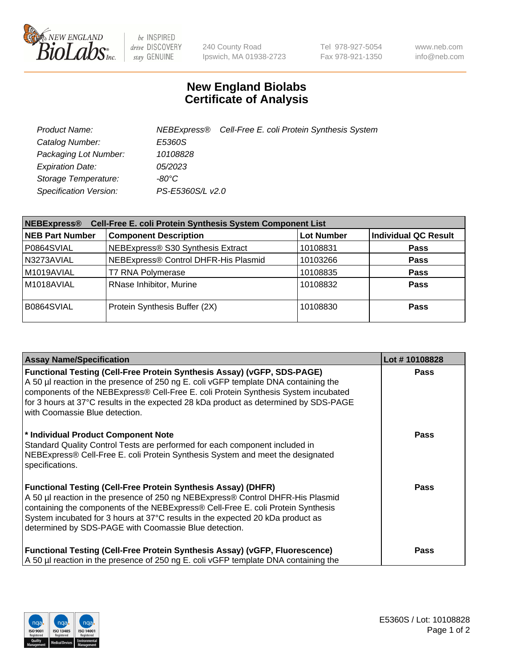

 $be$  INSPIRED drive DISCOVERY stay GENUINE

240 County Road Ipswich, MA 01938-2723 Tel 978-927-5054 Fax 978-921-1350 www.neb.com info@neb.com

## **New England Biolabs Certificate of Analysis**

| Product Name:           |                  | NEBExpress® Cell-Free E. coli Protein Synthesis System |
|-------------------------|------------------|--------------------------------------------------------|
| Catalog Number:         | E5360S           |                                                        |
| Packaging Lot Number:   | 10108828         |                                                        |
| <b>Expiration Date:</b> | 05/2023          |                                                        |
| Storage Temperature:    | -80°C            |                                                        |
| Specification Version:  | PS-E5360S/L v2.0 |                                                        |

| Cell-Free E. coli Protein Synthesis System Component List<br><b>NEBExpress®</b> |                                      |                   |                             |  |
|---------------------------------------------------------------------------------|--------------------------------------|-------------------|-----------------------------|--|
| <b>NEB Part Number</b>                                                          | <b>Component Description</b>         | <b>Lot Number</b> | <b>Individual QC Result</b> |  |
| P0864SVIAL                                                                      | NEBExpress® S30 Synthesis Extract    | 10108831          | <b>Pass</b>                 |  |
| N3273AVIAL                                                                      | NEBExpress® Control DHFR-His Plasmid | 10103266          | <b>Pass</b>                 |  |
| M1019AVIAL                                                                      | <b>T7 RNA Polymerase</b>             | 10108835          | <b>Pass</b>                 |  |
| M1018AVIAL                                                                      | RNase Inhibitor, Murine              | 10108832          | <b>Pass</b>                 |  |
| B0864SVIAL                                                                      | Protein Synthesis Buffer (2X)        | 10108830          | <b>Pass</b>                 |  |

| <b>Assay Name/Specification</b>                                                                                                                                                                                                                                                                                                                                                        | Lot #10108828 |
|----------------------------------------------------------------------------------------------------------------------------------------------------------------------------------------------------------------------------------------------------------------------------------------------------------------------------------------------------------------------------------------|---------------|
| <b>Functional Testing (Cell-Free Protein Synthesis Assay) (vGFP, SDS-PAGE)</b><br>A 50 µl reaction in the presence of 250 ng E. coli vGFP template DNA containing the<br>components of the NEBExpress® Cell-Free E. coli Protein Synthesis System incubated<br>for 3 hours at 37°C results in the expected 28 kDa product as determined by SDS-PAGE<br>with Coomassie Blue detection.  | <b>Pass</b>   |
| * Individual Product Component Note<br>Standard Quality Control Tests are performed for each component included in<br>NEBExpress® Cell-Free E. coli Protein Synthesis System and meet the designated<br>specifications.                                                                                                                                                                | Pass          |
| <b>Functional Testing (Cell-Free Protein Synthesis Assay) (DHFR)</b><br>A 50 µl reaction in the presence of 250 ng NEBExpress® Control DHFR-His Plasmid<br>containing the components of the NEBExpress® Cell-Free E. coli Protein Synthesis<br>System incubated for 3 hours at 37°C results in the expected 20 kDa product as<br>determined by SDS-PAGE with Coomassie Blue detection. | Pass          |
| <b>Functional Testing (Cell-Free Protein Synthesis Assay) (vGFP, Fluorescence)</b><br>A 50 µl reaction in the presence of 250 ng E. coli vGFP template DNA containing the                                                                                                                                                                                                              | <b>Pass</b>   |